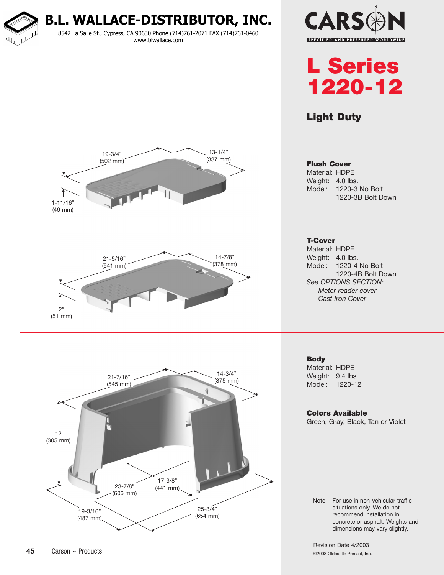**B.L. WALLACE-DISTRIBUTOR, INC.** 8542 La Salle St., Cypress, CA 90630 Phone (714)761-2071 FAX (714)761-0460 www.blwallace.com





Light Duty



Material: HDPE Weight: 4.0 lbs. Model: 1220-3 No Bolt 1220-3B Bolt Down



Material: HDPE Weight: 4.0 lbs. Model: 1220-4 No Bolt 1220-4B Bolt Down *See OPTIONS SECTION: – Meter reader cover – Cast Iron Cover*

**Body** Material: HDPE Weight: 9.4 lbs. Model: 1220-12

Colors Available Green, Gray, Black, Tan or Violet

Note: For use in non-vehicular traffic situations only. We do not recommend installation in concrete or asphalt. Weights and dimensions may vary slightly.

Revision Date 4/2003 ©2008 Oldcastle Precast, Inc.